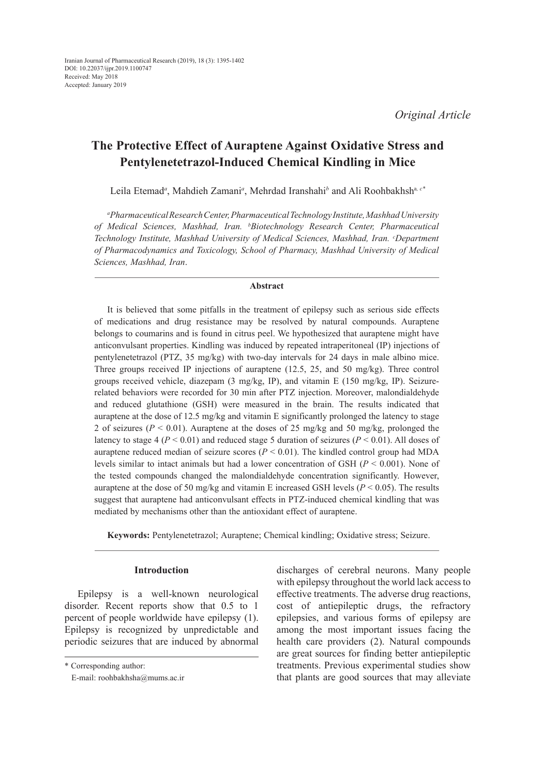# **The Protective Effect of Auraptene Against Oxidative Stress and Pentylenetetrazol-Induced Chemical Kindling in Mice**

Leila Etemad*<sup>a</sup>* , Mahdieh Zamani*<sup>a</sup>* , Mehrdad Iranshahi*<sup>b</sup>* and Ali Roohbakhsha*, c\**

*a Pharmaceutical Research Center, Pharmaceutical Technology Institute, Mashhad University of Medical Sciences, Mashhad, Iran. b Biotechnology Research Center, Pharmaceutical*  Technology Institute, Mashhad University of Medical Sciences, Mashhad, Iran. *°Department of Pharmacodynamics and Toxicology, School of Pharmacy, Mashhad University of Medical Sciences, Mashhad, Iran*.

#### **Abstract**

It is believed that some pitfalls in the treatment of epilepsy such as serious side effects of medications and drug resistance may be resolved by natural compounds. Auraptene belongs to coumarins and is found in citrus peel. We hypothesized that auraptene might have anticonvulsant properties. Kindling was induced by repeated intraperitoneal (IP) injections of pentylenetetrazol (PTZ, 35 mg/kg) with two-day intervals for 24 days in male albino mice. Three groups received IP injections of auraptene (12.5, 25, and 50 mg/kg). Three control groups received vehicle, diazepam (3 mg/kg, IP), and vitamin E (150 mg/kg, IP). Seizurerelated behaviors were recorded for 30 min after PTZ injection. Moreover, malondialdehyde and reduced glutathione (GSH) were measured in the brain. The results indicated that auraptene at the dose of 12.5 mg/kg and vitamin E significantly prolonged the latency to stage 2 of seizures ( $P < 0.01$ ). Auraptene at the doses of 25 mg/kg and 50 mg/kg, prolonged the latency to stage 4 ( $P < 0.01$ ) and reduced stage 5 duration of seizures ( $P < 0.01$ ). All doses of auraptene reduced median of seizure scores  $(P < 0.01)$ . The kindled control group had MDA levels similar to intact animals but had a lower concentration of GSH (*P* < 0.001). None of the tested compounds changed the malondialdehyde concentration significantly. However, auraptene at the dose of 50 mg/kg and vitamin E increased GSH levels (*P* < 0.05). The results suggest that auraptene had anticonvulsant effects in PTZ-induced chemical kindling that was mediated by mechanisms other than the antioxidant effect of auraptene.

**Keywords:** Pentylenetetrazol; Auraptene; Chemical kindling; Oxidative stress; Seizure.

## **Introduction**

Epilepsy is a well-known neurological disorder. Recent reports show that 0.5 to 1 percent of people worldwide have epilepsy (1). Epilepsy is recognized by unpredictable and periodic seizures that are induced by abnormal discharges of cerebral neurons. Many people with epilepsy throughout the world lack access to effective treatments. The adverse drug reactions, cost of antiepileptic drugs, the refractory epilepsies, and various forms of epilepsy are among the most important issues facing the health care providers (2). Natural compounds are great sources for finding better antiepileptic treatments. Previous experimental studies show that plants are good sources that may alleviate

<sup>\*</sup> Corresponding author:

E-mail: roohbakhsha@mums.ac.ir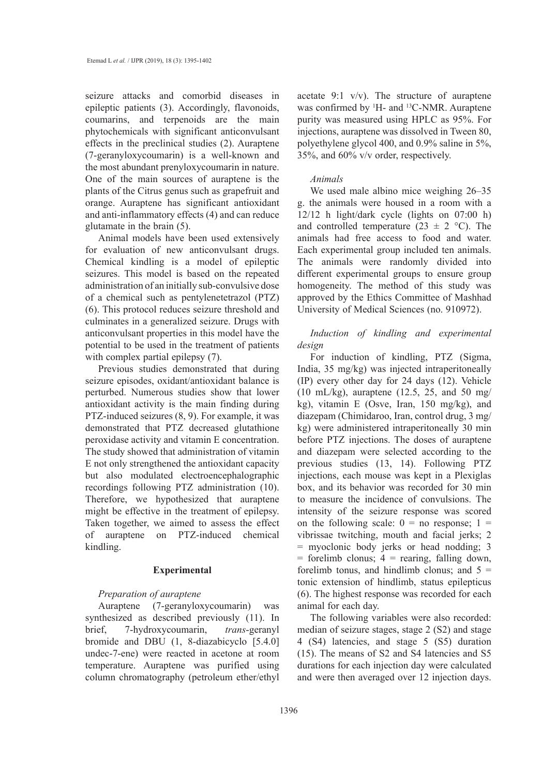seizure attacks and comorbid diseases in epileptic patients (3). Accordingly, flavonoids, coumarins, and terpenoids are the main phytochemicals with significant anticonvulsant effects in the preclinical studies (2). Auraptene (7-geranyloxycoumarin) is a well-known and the most abundant prenyloxycoumarin in nature. One of the main sources of auraptene is the plants of the Citrus genus such as grapefruit and orange. Auraptene has significant antioxidant and anti-inflammatory effects (4) and can reduce glutamate in the brain (5).

Animal models have been used extensively for evaluation of new anticonvulsant drugs. Chemical kindling is a model of epileptic seizures. This model is based on the repeated administration of an initially sub-convulsive dose of a chemical such as pentylenetetrazol (PTZ) (6). This protocol reduces seizure threshold and culminates in a generalized seizure. Drugs with anticonvulsant properties in this model have the potential to be used in the treatment of patients with complex partial epilepsy  $(7)$ .

Previous studies demonstrated that during seizure episodes, oxidant/antioxidant balance is perturbed. Numerous studies show that lower antioxidant activity is the main finding during PTZ-induced seizures (8, 9). For example, it was demonstrated that PTZ decreased glutathione peroxidase activity and vitamin E concentration. The study showed that administration of vitamin E not only strengthened the antioxidant capacity but also modulated electroencephalographic recordings following PTZ administration (10). Therefore, we hypothesized that auraptene might be effective in the treatment of epilepsy. Taken together, we aimed to assess the effect of auraptene on PTZ-induced chemical kindling.

### **Experimental**

### *Preparation of auraptene*

Auraptene (7-geranyloxycoumarin) was synthesized as described previously (11). In brief, 7-hydroxycoumarin, *trans*-geranyl bromide and DBU (1, 8-diazabicyclo [5.4.0] undec-7-ene) were reacted in acetone at room temperature. Auraptene was purified using column chromatography (petroleum ether/ethyl

acetate 9:1 v/v). The structure of auraptene was confirmed by <sup>1</sup>H- and <sup>13</sup>C-NMR. Auraptene purity was measured using HPLC as 95%. For injections, auraptene was dissolved in Tween 80, polyethylene glycol 400, and 0.9% saline in 5%, 35%, and 60% v/v order, respectively.

#### *Animals*

We used male albino mice weighing 26–35 g. the animals were housed in a room with a 12/12 h light/dark cycle (lights on 07:00 h) and controlled temperature (23  $\pm$  2 °C). The animals had free access to food and water. Each experimental group included ten animals. The animals were randomly divided into different experimental groups to ensure group homogeneity. The method of this study was approved by the Ethics Committee of Mashhad University of Medical Sciences (no. 910972).

*Induction of kindling and experimental design*

For induction of kindling, PTZ (Sigma, India, 35 mg/kg) was injected intraperitoneally (IP) every other day for 24 days (12). Vehicle (10 mL/kg), auraptene (12.5, 25, and 50 mg/ kg), vitamin E (Osve, Iran, 150 mg/kg), and diazepam (Chimidaroo, Iran, control drug, 3 mg/ kg) were administered intraperitoneally 30 min before PTZ injections. The doses of auraptene and diazepam were selected according to the previous studies (13, 14). Following PTZ injections, each mouse was kept in a Plexiglas box, and its behavior was recorded for 30 min to measure the incidence of convulsions. The intensity of the seizure response was scored on the following scale:  $0 =$  no response;  $1 =$ vibrissae twitching, mouth and facial jerks; 2 = myoclonic body jerks or head nodding; 3  $=$  forelimb clonus;  $4 =$  rearing, falling down, forelimb tonus, and hindlimb clonus; and  $5 =$ tonic extension of hindlimb, status epilepticus (6). The highest response was recorded for each animal for each day.

The following variables were also recorded: median of seizure stages, stage 2 (S2) and stage 4 (S4) latencies, and stage 5 (S5) duration (15). The means of S2 and S4 latencies and S5 durations for each injection day were calculated and were then averaged over 12 injection days.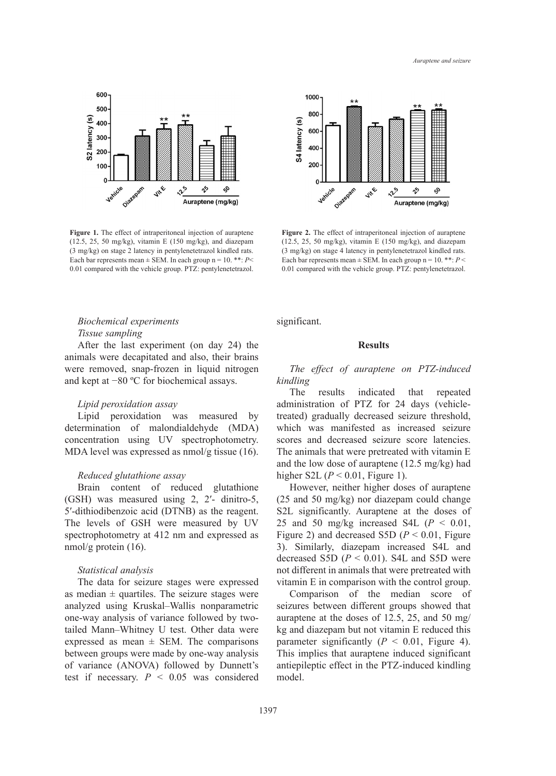Auraptene and seizure



**Figure 1.** The effect of intraperitoneal injection of auraptene **Figure 2.** The effect of intraperitoneal interaction of auraptene **Figure 2.** The effect of intraperitoneal interaction of a state of the state of the state (3 mg/kg) on stage 2 latency in pentylenetetrazol kindled rats. (3 mg/kg) on stage 4 latency in pentylenetetra Each bar represents mean  $\pm$  SEM. In each group n = 10. \*\*: *P<* Each bar represents mean  $\pm$ (12.5, 25, 50 mg/kg), vitamin E (150 mg/kg), and diazepam 0.01 compared with the vehicle group. PTZ: pentylenetetrazol.

## *Biochemical experiments Tissue sampling*

After the last experiment (on day 24) the animals were decapitated and also, their brains were removed, snap-frozen in liquid nitrogen and kept at −80 ºC for biochemical assays.

### *Lipid peroxidation assay*

Lipid peroxidation was measured by determination of malondialdehyde (MDA) concentration using UV spectrophotometry. MDA level was expressed as nmol/g tissue (16).

#### *Reduced glutathione assay*

Brain content of reduced glutathione (GSH) was measured using 2, 2′- dinitro-5, 5′-dithiodibenzoic acid (DTNB) as the reagent. The levels of GSH were measured by UV spectrophotometry at 412 nm and expressed as nmol/g protein (16).

## *Statistical analysis*

The data for seizure stages were expressed as median  $\pm$  quartiles. The seizure stages were analyzed using Kruskal–Wallis nonparametric one-way analysis of variance followed by twotailed Mann–Whitney U test. Other data were expressed as mean  $\pm$  SEM. The comparisons between groups were made by one-way analysis of variance (ANOVA) followed by Dunnett's test if necessary.  $P < 0.05$  was considered



Figure 2. The effect of intraperitoneal injection of auraptene  $(12.5, 25, 50 \text{ mg/kg})$ , vitamin E  $(150 \text{ mg/kg})$ , and diazepam Each bar represents mean  $\pm$  SEM. In each group n = 10. \*\*:  $P$  < 0.01 compared with the vehicle group. PTZ: pentylenetetrazol. (3 mg/kg) on stage 4 latency in pentylenetetrazol kindled rats.

significant.

#### **Results**

## *The effect of auraptene on PTZ-induced kindling*

The results indicated that repeated administration of PTZ for 24 days (vehicletreated) gradually decreased seizure threshold, which was manifested as increased seizure scores and decreased seizure score latencies. The animals that were pretreated with vitamin E and the low dose of auraptene (12.5 mg/kg) had higher S2L  $(P < 0.01$ , Figure 1).

However, neither higher doses of auraptene (25 and 50 mg/kg) nor diazepam could change S2L significantly. Auraptene at the doses of 25 and 50 mg/kg increased S4L  $(P < 0.01$ , Figure 2) and decreased S5D  $(P < 0.01$ , Figure 3). Similarly, diazepam increased S4L and decreased S5D  $(P < 0.01)$ . S4L and S5D were not different in animals that were pretreated with vitamin E in comparison with the control group.

Comparison of the median score of seizures between different groups showed that auraptene at the doses of 12.5, 25, and 50 mg/ kg and diazepam but not vitamin E reduced this parameter significantly  $(P < 0.01,$  Figure 4). This implies that auraptene induced significant antiepileptic effect in the PTZ-induced kindling model.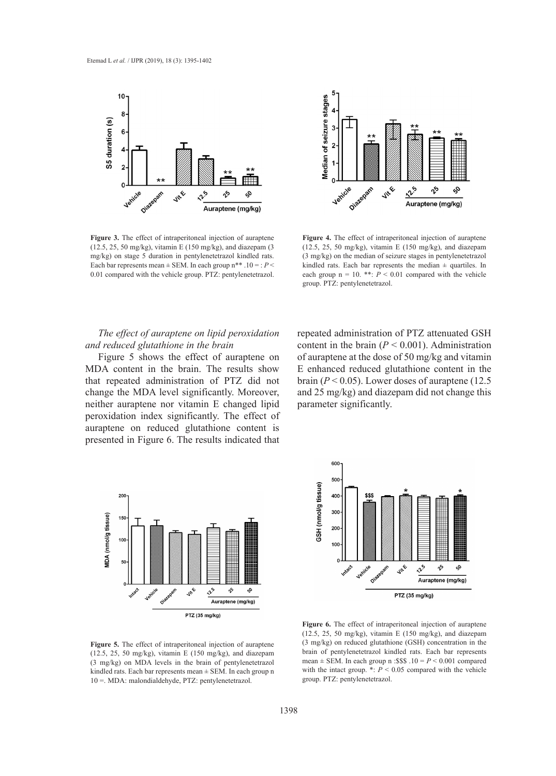

**Figure 3.** The effect of intraperitoneal injection of auraptene (12.5, 25, 30 mg/kg), vitamin E (150 mg/kg), vitamin E (150 mg/kg), and diazepam (3 mg/kg) on stage 5 duration in pentylenetetrazol kindled rats. (3 mg/kg) on the median of seizure stages in penty 0.01 compared with the vehicle group. PTZ: pentylenetetrazol. each group  $n = 10$ . \*\*:  $P < 0$ **Figure 3.** The effect of intraperitoneal injection of auraptene Each bar represents mean  $\pm$  SEM. In each group n\*\* .10 = :  $P$  <



**Figure 4.** The effect of intraperitoneal injection of auraptene (12.5, 25, 50 mg/kg), vitamin E (150 mg/kg), and diazepam (3 mg/kg) on the median of seizure stages in pentylenetetrazol kindled rats. Each bar represents the median ± quartiles. In each group  $n = 10$ . \*\*:  $P < 0.01$  compared with the vehicle group. PTZ: pentylenetetrazol.

## *The effect of auraptene on lipid peroxidation* repeated administration of PTZ attenu *Figure 4. Figure 4. Figure 4. EXECUTE: The effect of and reduced glutathione in the brain*

MDA content in the brain. The results show E enhanced re that repeated administration of PTZ did not brain  $(P < 0.05)$ . Lower doses of aurapteneurs change the MDA level significantly. Moreover, and 25 mg/kg neither auraptene nor vitamin E changed lipid parameter signi peroxidation index significantly. The effect of auraptene on reduced glutathione content is administration of Texaster graduations concent to  $\frac{1}{2}$  of  $\frac{1}{2}$  of  $\frac{1}{2}$  of  $\frac{1}{2}$  of  $\frac{1}{2}$  of  $\frac{1}{2}$  of  $\frac{1}{2}$  of  $\frac{1}{2}$  of  $\frac{1}{2}$  of  $\frac{1}{2}$  of  $\frac{1}{2}$  of  $\frac{1}{2}$  of  $\frac{1}{2}$  of  $\frac$ 

Figure 5 shows the effect of auraptene on of auraptene at the dose of 50 mg/kg and repeated administration of PTZ attenuated GSH content in the brain  $(P < 0.001)$ . Administration of auraptene at the dose of 50 mg/kg and vitamin E enhanced reduced glutathione content in the brain  $(P < 0.05)$ . Lower doses of auraptene  $(12.5$ and 25 mg/kg) and diazepam did not change this parameter significantly.



10 =. MDA: malondialdehyde, PTZ: pentylenetetrazol.

**Figure 5.** The effect of intraperitoneal injection of auraptene (3 mg/kg) on reduced  $(3 \text{ mg/kg})$  on MDA levels in the brain of pentylenetetrazol. mean  $\pm$  SEM. In  $(3 \text{ mg/kg})$ (12.5, 25, 50 mg/kg), vitamin E (150 mg/kg), and diazepam kindled rats. Each bar represents mean  $\pm$  SEM. In each group n



 $(12.5, 25, 50 \text{ mg/kg})$ , vitamin E  $(150 \text{ mg/kg})$ , and diazepam  $(3 \text{ mg/kg})$  on reduced glutathione  $(GSH)$  concentration in the brain of pentylenetetrazol kindled rats. Each bar represents mean  $\pm$  SEM. In each group n :\$\$\$ .10 =  $P < 0.001$  compared **Figure 6.** The effect of intraperitoneal injection of auraptene with the intact group.  $\cdot : P \leq 0.05$  compared with the vehicle group. PTZ: pentylenetetrazol.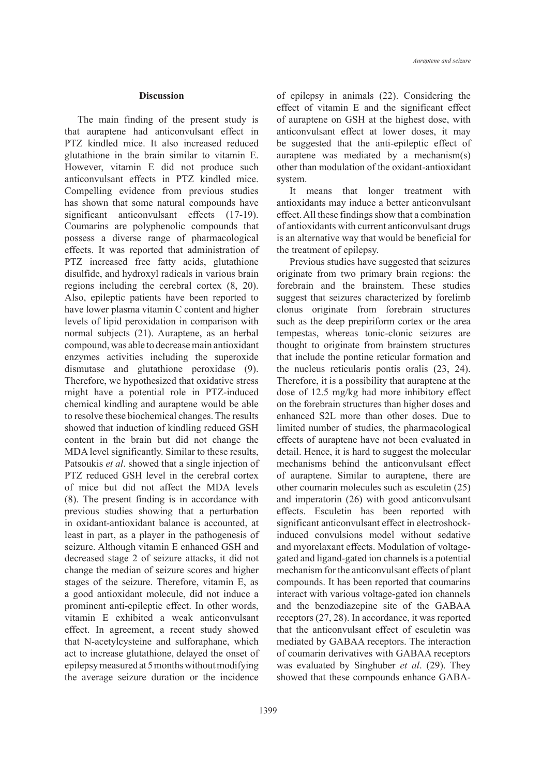#### **Discussion**

The main finding of the present study is that auraptene had anticonvulsant effect in PTZ kindled mice. It also increased reduced glutathione in the brain similar to vitamin E. However, vitamin E did not produce such anticonvulsant effects in PTZ kindled mice. Compelling evidence from previous studies has shown that some natural compounds have significant anticonvulsant effects (17-19). Coumarins are polyphenolic compounds that possess a diverse range of pharmacological effects. It was reported that administration of PTZ increased free fatty acids, glutathione disulfide, and hydroxyl radicals in various brain regions including the cerebral cortex (8, 20). Also, epileptic patients have been reported to have lower plasma vitamin C content and higher levels of lipid peroxidation in comparison with normal subjects (21). Auraptene, as an herbal compound, was able to decrease main antioxidant enzymes activities including the superoxide dismutase and glutathione peroxidase (9). Therefore, we hypothesized that oxidative stress might have a potential role in PTZ-induced chemical kindling and auraptene would be able to resolve these biochemical changes. The results showed that induction of kindling reduced GSH content in the brain but did not change the MDA level significantly. Similar to these results, Patsoukis *et al*. showed that a single injection of PTZ reduced GSH level in the cerebral cortex of mice but did not affect the MDA levels (8). The present finding is in accordance with previous studies showing that a perturbation in oxidant-antioxidant balance is accounted, at least in part, as a player in the pathogenesis of seizure. Although vitamin E enhanced GSH and decreased stage 2 of seizure attacks, it did not change the median of seizure scores and higher stages of the seizure. Therefore, vitamin E, as a good antioxidant molecule, did not induce a prominent anti-epileptic effect. In other words, vitamin E exhibited a weak anticonvulsant effect. In agreement, a recent study showed that N-acetylcysteine and sulforaphane, which act to increase glutathione, delayed the onset of epilepsy measured at 5 months without modifying the average seizure duration or the incidence of epilepsy in animals (22). Considering the effect of vitamin E and the significant effect of auraptene on GSH at the highest dose, with anticonvulsant effect at lower doses, it may be suggested that the anti-epileptic effect of auraptene was mediated by a mechanism(s) other than modulation of the oxidant-antioxidant system.

It means that longer treatment with antioxidants may induce a better anticonvulsant effect. All these findings show that a combination of antioxidants with current anticonvulsant drugs is an alternative way that would be beneficial for the treatment of epilepsy.

Previous studies have suggested that seizures originate from two primary brain regions: the forebrain and the brainstem. These studies suggest that seizures characterized by forelimb clonus originate from forebrain structures such as the deep prepiriform cortex or the area tempestas, whereas tonic-clonic seizures are thought to originate from brainstem structures that include the pontine reticular formation and the nucleus reticularis pontis oralis (23, 24). Therefore, it is a possibility that auraptene at the dose of 12.5 mg/kg had more inhibitory effect on the forebrain structures than higher doses and enhanced S2L more than other doses. Due to limited number of studies, the pharmacological effects of auraptene have not been evaluated in detail. Hence, it is hard to suggest the molecular mechanisms behind the anticonvulsant effect of auraptene. Similar to auraptene, there are other coumarin molecules such as esculetin (25) and imperatorin (26) with good anticonvulsant effects. Esculetin has been reported with significant anticonvulsant effect in electroshockinduced convulsions model without sedative and myorelaxant effects. Modulation of voltagegated and ligand-gated ion channels is a potential mechanism for the anticonvulsant effects of plant compounds. It has been reported that coumarins interact with various voltage-gated ion channels and the benzodiazepine site of the GABAA receptors (27, 28). In accordance, it was reported that the anticonvulsant effect of esculetin was mediated by GABAA receptors. The interaction of coumarin derivatives with GABAA receptors was evaluated by Singhuber *et al*. (29). They showed that these compounds enhance GABA-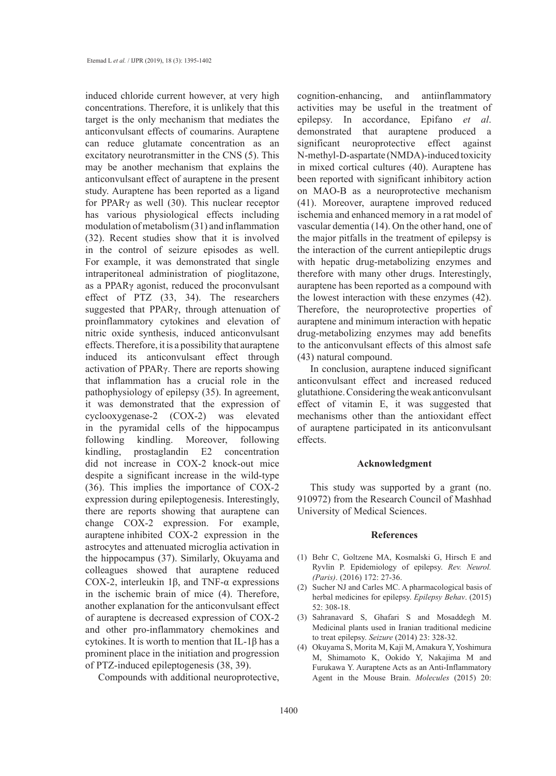induced chloride current however, at very high concentrations. Therefore, it is unlikely that this target is the only mechanism that mediates the anticonvulsant effects of coumarins. Auraptene can reduce glutamate concentration as an excitatory neurotransmitter in the CNS (5). This may be another mechanism that explains the anticonvulsant effect of auraptene in the present study. Auraptene has been reported as a ligand for PPARγ as well (30). This nuclear receptor has various physiological effects including modulation of metabolism (31) and inflammation (32). Recent studies show that it is involved in the control of seizure episodes as well. For example, it was demonstrated that single intraperitoneal administration of pioglitazone, as a PPARγ agonist, reduced the proconvulsant effect of PTZ (33, 34). The researchers suggested that PPARγ, through attenuation of proinflammatory cytokines and elevation of nitric oxide synthesis, induced anticonvulsant effects. Therefore, it is a possibility that auraptene induced its anticonvulsant effect through activation of PPARγ. There are reports showing that inflammation has a crucial role in the pathophysiology of epilepsy (35). In agreement, it was demonstrated that the expression of cyclooxygenase-2 (COX-2) was elevated in the pyramidal cells of the hippocampus following kindling. Moreover, following kindling, prostaglandin E2 concentration did not increase in COX-2 knock-out mice despite a significant increase in the wild-type (36). This implies the importance of COX-2 expression during epileptogenesis. Interestingly, there are reports showing that auraptene can change COX-2 expression. For example, auraptene inhibited COX-2 expression in the astrocytes and attenuated microglia activation in the hippocampus (37). Similarly, Okuyama and colleagues showed that auraptene reduced COX-2, interleukin 1β, and TNF-α expressions in the ischemic brain of mice (4). Therefore, another explanation for the anticonvulsant effect of auraptene is decreased expression of COX-2 and other pro-inflammatory chemokines and cytokines. It is worth to mention that IL-1 $\beta$  has a prominent place in the initiation and progression of PTZ-induced epileptogenesis (38, 39).

Compounds with additional neuroprotective,

cognition-enhancing, and antiinflammatory activities may be useful in the treatment of epilepsy. In accordance, Epifano *et al*. demonstrated that auraptene produced a significant neuroprotective effect against N-methyl-D-aspartate (NMDA)-induced toxicity in mixed cortical cultures (40). Auraptene has been reported with significant inhibitory action on MAO-B as a neuroprotective mechanism (41). Moreover, auraptene improved reduced ischemia and enhanced memory in a rat model of vascular dementia (14). On the other hand, one of the major pitfalls in the treatment of epilepsy is the interaction of the current antiepileptic drugs with hepatic drug-metabolizing enzymes and therefore with many other drugs. Interestingly, auraptene has been reported as a compound with the lowest interaction with these enzymes (42). Therefore, the neuroprotective properties of auraptene and minimum interaction with hepatic drug-metabolizing enzymes may add benefits to the anticonvulsant effects of this almost safe (43) natural compound.

In conclusion, auraptene induced significant anticonvulsant effect and increased reduced glutathione. Considering the weak anticonvulsant effect of vitamin E, it was suggested that mechanisms other than the antioxidant effect of auraptene participated in its anticonvulsant effects.

#### **Acknowledgment**

This study was supported by a grant (no. 910972) from the Research Council of Mashhad University of Medical Sciences.

#### **References**

- Behr C, Goltzene MA, Kosmalski G, Hirsch E and (1) Ryvlin P. Epidemiology of epilepsy. *Rev. Neurol. (Paris)*. (2016) 172: 27-36.
- (2) Sucher NJ and Carles MC. A pharmacological basis of herbal medicines for epilepsy. *Epilepsy Behav*. (2015) 52: 308-18.
- (3) Sahranavard S, Ghafari S and Mosaddegh M. Medicinal plants used in Iranian traditional medicine to treat epilepsy. *Seizure* (2014) 23: 328-32.
- Okuyama S, Morita M, Kaji M, Amakura Y, Yoshimura (4)M, Shimamoto K, Ookido Y, Nakajima M and Furukawa Y. Auraptene Acts as an Anti-Inflammatory Agent in the Mouse Brain. *Molecules* (2015) 20: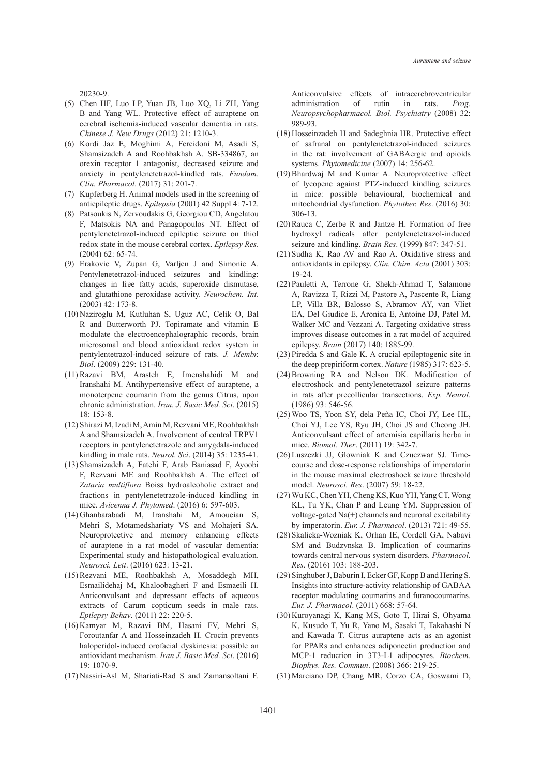20230-9.

- (5) Chen HF, Luo LP, Yuan JB, Luo XQ, Li ZH, Yang B and Yang WL. Protective effect of auraptene on cerebral ischemia-induced vascular dementia in rats. *Chinese J. New Drugs* (2012) 21: 1210-3.
- (6) Kordi Jaz E, Moghimi A, Fereidoni M, Asadi S, Shamsizadeh A and Roohbakhsh A. SB-334867, an orexin receptor 1 antagonist, decreased seizure and anxiety in pentylenetetrazol-kindled rats. *Fundam. Clin. Pharmacol*. (2017) 31: 201-7.
- (7) Kupferberg H. Animal models used in the screening of antiepileptic drugs. *Epilepsia* (2001) 42 Suppl 4: 7-12.
- Patsoukis N, Zervoudakis G, Georgiou CD, Angelatou (8) F, Matsokis NA and Panagopoulos NT. Effect of pentylenetetrazol-induced epileptic seizure on thiol redox state in the mouse cerebral cortex. *Epilepsy Res*. (2004) 62: 65-74.
- Erakovic V, Zupan G, Varljen J and Simonic A. (9) Pentylenetetrazol-induced seizures and kindling: changes in free fatty acids, superoxide dismutase, and glutathione peroxidase activity. *Neurochem. Int*. (2003) 42: 173-8.
- (10) Naziroglu M, Kutluhan S, Uguz AC, Celik O, Bal R and Butterworth PJ. Topiramate and vitamin E modulate the electroencephalographic records, brain microsomal and blood antioxidant redox system in pentylentetrazol-induced seizure of rats. *J. Membr. Biol*. (2009) 229: 131-40.
- (11) Razavi BM, Arasteh E, Imenshahidi M and Iranshahi M. Antihypertensive effect of auraptene, a monoterpene coumarin from the genus Citrus, upon chronic administration. *Iran. J. Basic Med. Sci*. (2015) 18: 153-8.
- (12) Shirazi M, Izadi M, Amin M, Rezvani ME, Roohbakhsh A and Shamsizadeh A. Involvement of central TRPV1 receptors in pentylenetetrazole and amygdala-induced kindling in male rats. *Neurol. Sci*. (2014) 35: 1235-41.
- (13) Shamsizadeh A, Fatehi F, Arab Baniasad F, Ayoobi F, Rezvani ME and Roohbakhsh A. The effect of *Zataria multiflora* Boiss hydroalcoholic extract and fractions in pentylenetetrazole-induced kindling in mice. *Avicenna J. Phytomed*. (2016) 6: 597-603.
- Ghanbarabadi M, Iranshahi M, Amoueian S, (14) Mehri S, Motamedshariaty VS and Mohajeri SA. Neuroprotective and memory enhancing effects of auraptene in a rat model of vascular dementia: Experimental study and histopathological evaluation. *Neurosci. Lett*. (2016) 623: 13-21.
- (15) Rezvani ME, Roohbakhsh A, Mosaddegh MH, Esmailidehaj M, Khaloobagheri F and Esmaeili H. Anticonvulsant and depressant effects of aqueous extracts of Carum copticum seeds in male rats. *Epilepsy Behav*. (2011) 22: 220-5.
- (16) Kamyar M, Razavi BM, Hasani FV, Mehri S, Foroutanfar A and Hosseinzadeh H. Crocin prevents haloperidol-induced orofacial dyskinesia: possible an antioxidant mechanism. *Iran J. Basic Med. Sci*. (2016) 19: 1070-9.
- Nassiri-Asl M, Shariati-Rad S and Zamansoltani F. (17)

Anticonvulsive effects of intracerebroventricular administration of rutin in rats. *Prog. Neuropsychopharmacol. Biol. Psychiatry* (2008) 32: 989-93.

- (18) Hosseinzadeh H and Sadeghnia HR. Protective effect of safranal on pentylenetetrazol-induced seizures in the rat: involvement of GABAergic and opioids systems. *Phytomedicine* (2007) 14: 256-62.
- (19) Bhardwaj M and Kumar A. Neuroprotective effect of lycopene against PTZ-induced kindling seizures in mice: possible behavioural, biochemical and mitochondrial dysfunction. *Phytother. Res*. (2016) 30: 306-13.
- $(20)$  Rauca C, Zerbe R and Jantze H. Formation of free hydroxyl radicals after pentylenetetrazol-induced seizure and kindling. *Brain Res*. (1999) 847: 347-51.
- (21) Sudha K, Rao AV and Rao A. Oxidative stress and antioxidants in epilepsy. *Clin. Chim. Acta* (2001) 303: 19-24.
- (22) Pauletti A, Terrone G, Shekh-Ahmad T, Salamone A, Ravizza T, Rizzi M, Pastore A, Pascente R, Liang LP, Villa BR, Balosso S, Abramov AY, van Vliet EA, Del Giudice E, Aronica E, Antoine DJ, Patel M, Walker MC and Vezzani A. Targeting oxidative stress improves disease outcomes in a rat model of acquired epilepsy. *Brain* (2017) 140: 1885-99.
- (23) Piredda S and Gale K. A crucial epileptogenic site in the deep prepiriform cortex. *Nature* (1985) 317: 623-5.
- (24) Browning RA and Nelson DK. Modification of electroshock and pentylenetetrazol seizure patterns in rats after precollicular transections. *Exp. Neurol*. (1986) 93: 546-56.
- Woo TS, Yoon SY, dela Peña IC, Choi JY, Lee HL, (25) Choi YJ, Lee YS, Ryu JH, Choi JS and Cheong JH. Anticonvulsant effect of artemisia capillaris herba in mice. *Biomol. Ther*. (2011) 19: 342-7.
- (26) Luszczki JJ, Glowniak K and Czuczwar SJ. Timecourse and dose-response relationships of imperatorin in the mouse maximal electroshock seizure threshold model. *Neurosci. Res*. (2007) 59: 18-22.
- (27) Wu KC, Chen YH, Cheng KS, Kuo YH, Yang CT, Wong KL, Tu YK, Chan P and Leung YM. Suppression of voltage-gated Na(+) channels and neuronal excitability by imperatorin. *Eur. J. Pharmacol*. (2013) 721: 49-55.
- (28) Skalicka-Wozniak K, Orhan IE, Cordell GA, Nabavi SM and Budzynska B. Implication of coumarins towards central nervous system disorders. *Pharmacol. Res*. (2016) 103: 188-203.
- (29) Singhuber J, Baburin I, Ecker GF, Kopp B and Hering S. Insights into structure-activity relationship of GABAA receptor modulating coumarins and furanocoumarins. *Eur. J. Pharmacol*. (2011) 668: 57-64.
- (30) Kuroyanagi K, Kang MS, Goto T, Hirai S, Ohyama K, Kusudo T, Yu R, Yano M, Sasaki T, Takahashi N and Kawada T. Citrus auraptene acts as an agonist for PPARs and enhances adiponectin production and MCP-1 reduction in 3T3-L1 adipocytes. *Biochem. Biophys. Res. Commun*. (2008) 366: 219-25.
- (31) Marciano DP, Chang MR, Corzo CA, Goswami D,